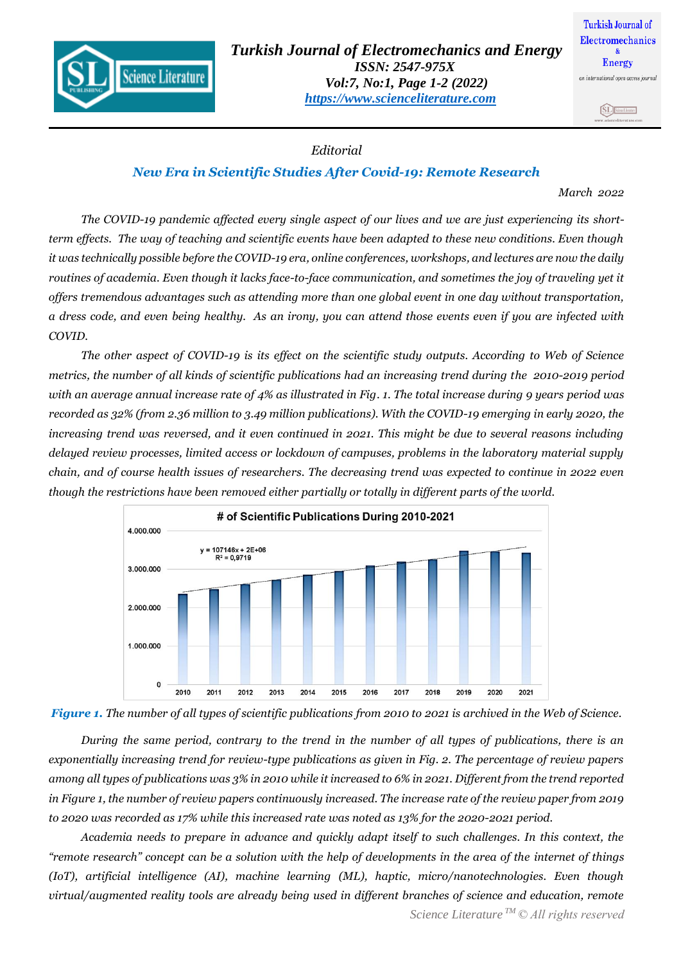

## SL Southean

## *Editorial*

## *New Era in Scientific Studies After Covid-19: Remote Research*

*March 2022*

*The COVID-19 pandemic affected every single aspect of our lives and we are just experiencing its shortterm effects. The way of teaching and scientific events have been adapted to these new conditions. Even though it was technically possible before the COVID-19 era, online conferences, workshops, and lectures are now the daily routines of academia. Even though it lacks face-to-face communication, and sometimes the joy of traveling yet it offers tremendous advantages such as attending more than one global event in one day without transportation, a dress code, and even being healthy. As an irony, you can attend those events even if you are infected with COVID.*

*The other aspect of COVID-19 is its effect on the scientific study outputs. According to Web of Science metrics, the number of all kinds of scientific publications had an increasing trend during the 2010-2019 period with an average annual increase rate of 4% as illustrated in Fig. 1. The total increase during 9 years period was recorded as 32% (from 2.36 million to 3.49 million publications). With the COVID-19 emerging in early 2020, the increasing trend was reversed, and it even continued in 2021. This might be due to several reasons including delayed review processes, limited access or lockdown of campuses, problems in the laboratory material supply chain, and of course health issues of researchers. The decreasing trend was expected to continue in 2022 even though the restrictions have been removed either partially or totally in different parts of the world.* 





*During the same period, contrary to the trend in the number of all types of publications, there is an exponentially increasing trend for review-type publications as given in Fig. 2. The percentage of review papers among all types of publications was 3% in 2010 while it increased to 6% in 2021. Different from the trend reported in Figure 1, the number of review papers continuously increased. The increase rate of the review paper from 2019 to 2020 was recorded as 17% while this increased rate was noted as 13% for the 2020-2021 period.* 

*Academia needs to prepare in advance and quickly adapt itself to such challenges. In this context, the "remote research" concept can be a solution with the help of developments in the area of the internet of things (IoT), artificial intelligence (AI), machine learning (ML), haptic, micro/nanotechnologies. Even though virtual/augmented reality tools are already being used in different branches of science and education, remote*